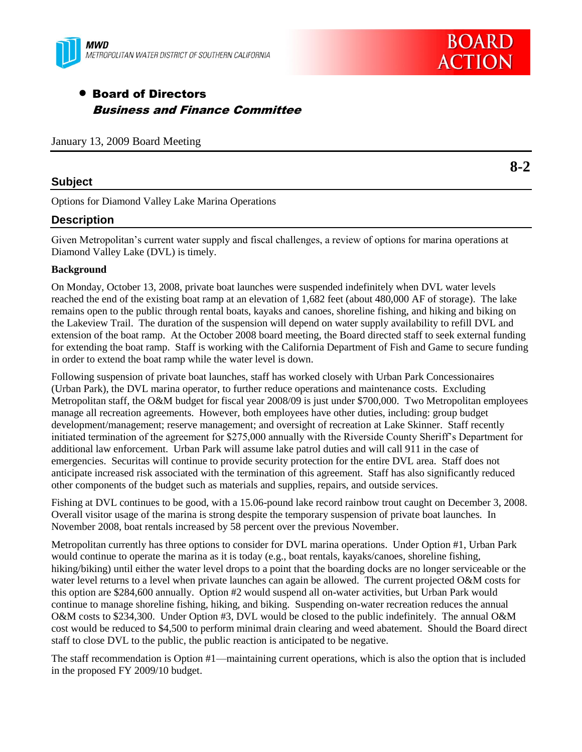

# **BOARD ACTION**

**8-2**

## Board of Directors Business and Finance Committee

January 13, 2009 Board Meeting

## **Subject**

Options for Diamond Valley Lake Marina Operations

## **Description**

Given Metropolitan's current water supply and fiscal challenges, a review of options for marina operations at Diamond Valley Lake (DVL) is timely.

#### **Background**

On Monday, October 13, 2008, private boat launches were suspended indefinitely when DVL water levels reached the end of the existing boat ramp at an elevation of 1,682 feet (about 480,000 AF of storage). The lake remains open to the public through rental boats, kayaks and canoes, shoreline fishing, and hiking and biking on the Lakeview Trail. The duration of the suspension will depend on water supply availability to refill DVL and extension of the boat ramp. At the October 2008 board meeting, the Board directed staff to seek external funding for extending the boat ramp. Staff is working with the California Department of Fish and Game to secure funding in order to extend the boat ramp while the water level is down.

Following suspension of private boat launches, staff has worked closely with Urban Park Concessionaires (Urban Park), the DVL marina operator, to further reduce operations and maintenance costs. Excluding Metropolitan staff, the O&M budget for fiscal year 2008/09 is just under \$700,000. Two Metropolitan employees manage all recreation agreements. However, both employees have other duties, including: group budget development/management; reserve management; and oversight of recreation at Lake Skinner. Staff recently initiated termination of the agreement for \$275,000 annually with the Riverside County Sheriff's Department for additional law enforcement. Urban Park will assume lake patrol duties and will call 911 in the case of emergencies. Securitas will continue to provide security protection for the entire DVL area. Staff does not anticipate increased risk associated with the termination of this agreement. Staff has also significantly reduced other components of the budget such as materials and supplies, repairs, and outside services.

Fishing at DVL continues to be good, with a 15.06-pound lake record rainbow trout caught on December 3, 2008. Overall visitor usage of the marina is strong despite the temporary suspension of private boat launches. In November 2008, boat rentals increased by 58 percent over the previous November.

Metropolitan currently has three options to consider for DVL marina operations. Under Option #1, Urban Park would continue to operate the marina as it is today (e.g., boat rentals, kayaks/canoes, shoreline fishing, hiking/biking) until either the water level drops to a point that the boarding docks are no longer serviceable or the water level returns to a level when private launches can again be allowed. The current projected O&M costs for this option are \$284,600 annually. Option #2 would suspend all on-water activities, but Urban Park would continue to manage shoreline fishing, hiking, and biking. Suspending on-water recreation reduces the annual O&M costs to \$234,300. Under Option #3, DVL would be closed to the public indefinitely. The annual O&M cost would be reduced to \$4,500 to perform minimal drain clearing and weed abatement. Should the Board direct staff to close DVL to the public, the public reaction is anticipated to be negative.

The staff recommendation is Option #1—maintaining current operations, which is also the option that is included in the proposed FY 2009/10 budget.